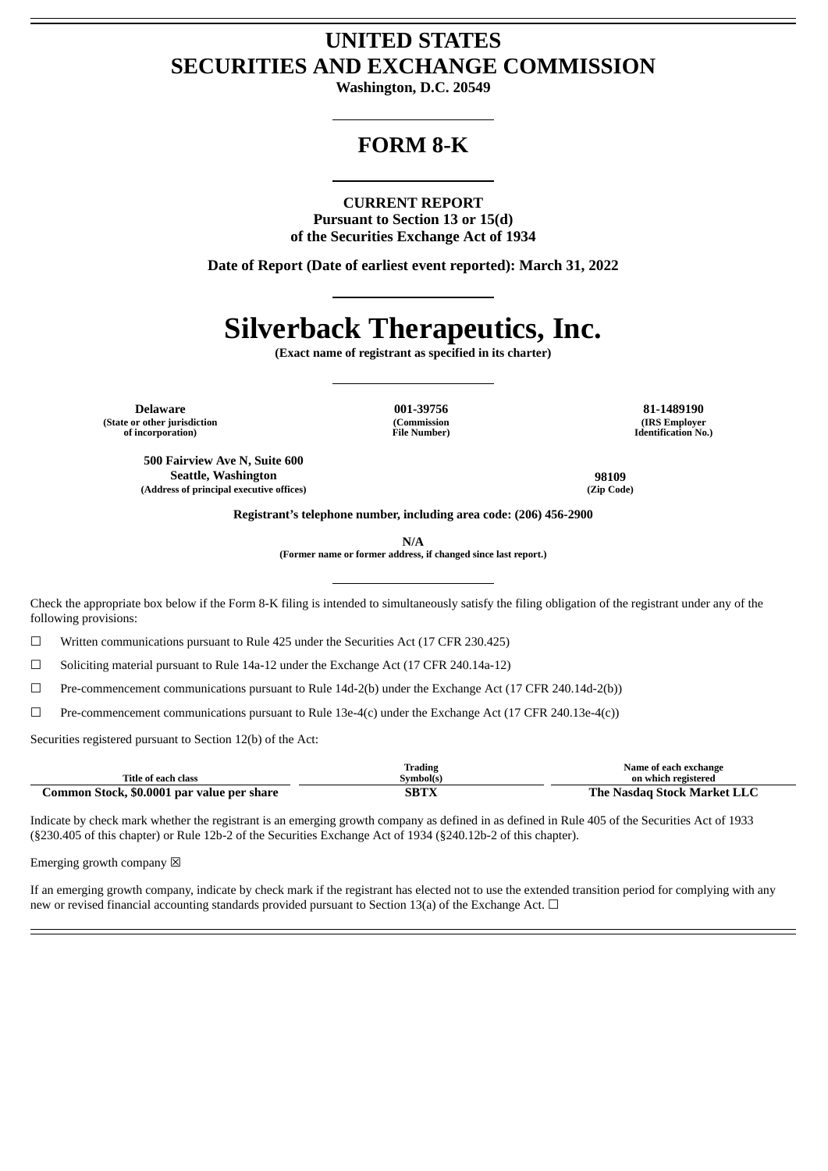# **UNITED STATES SECURITIES AND EXCHANGE COMMISSION**

**Washington, D.C. 20549**

# **FORM 8-K**

#### **CURRENT REPORT**

**Pursuant to Section 13 or 15(d) of the Securities Exchange Act of 1934**

**Date of Report (Date of earliest event reported): March 31, 2022**

# **Silverback Therapeutics, Inc.**

**(Exact name of registrant as specified in its charter)**

**Delaware 001-39756 81-1489190 (State or other jurisdiction of incorporation)**

**(Commission File Number)**

**(IRS Employer Identification No.)**

**500 Fairview Ave N, Suite 600 Seattle, Washington 98109 (Address of principal executive offices) (Zip Code)**

**Registrant's telephone number, including area code: (206) 456-2900**

**N/A**

**(Former name or former address, if changed since last report.)**

Check the appropriate box below if the Form 8-K filing is intended to simultaneously satisfy the filing obligation of the registrant under any of the following provisions:

☐ Written communications pursuant to Rule 425 under the Securities Act (17 CFR 230.425)

☐ Soliciting material pursuant to Rule 14a-12 under the Exchange Act (17 CFR 240.14a-12)

☐ Pre-commencement communications pursuant to Rule 14d-2(b) under the Exchange Act (17 CFR 240.14d-2(b))

 $\Box$  Pre-commencement communications pursuant to Rule 13e-4(c) under the Exchange Act (17 CFR 240.13e-4(c))

Securities registered pursuant to Section 12(b) of the Act:

|                                            | Trading   | Name of each exchange       |
|--------------------------------------------|-----------|-----------------------------|
| Title of each class                        | Svmbol(s` | on which registered         |
| Common Stock, \$0.0001 par value per share | SBTX      | The Nasdag Stock Market LLC |

Indicate by check mark whether the registrant is an emerging growth company as defined in as defined in Rule 405 of the Securities Act of 1933 (§230.405 of this chapter) or Rule 12b-2 of the Securities Exchange Act of 1934 (§240.12b-2 of this chapter).

Emerging growth company  $\boxtimes$ 

If an emerging growth company, indicate by check mark if the registrant has elected not to use the extended transition period for complying with any new or revised financial accounting standards provided pursuant to Section 13(a) of the Exchange Act.  $\Box$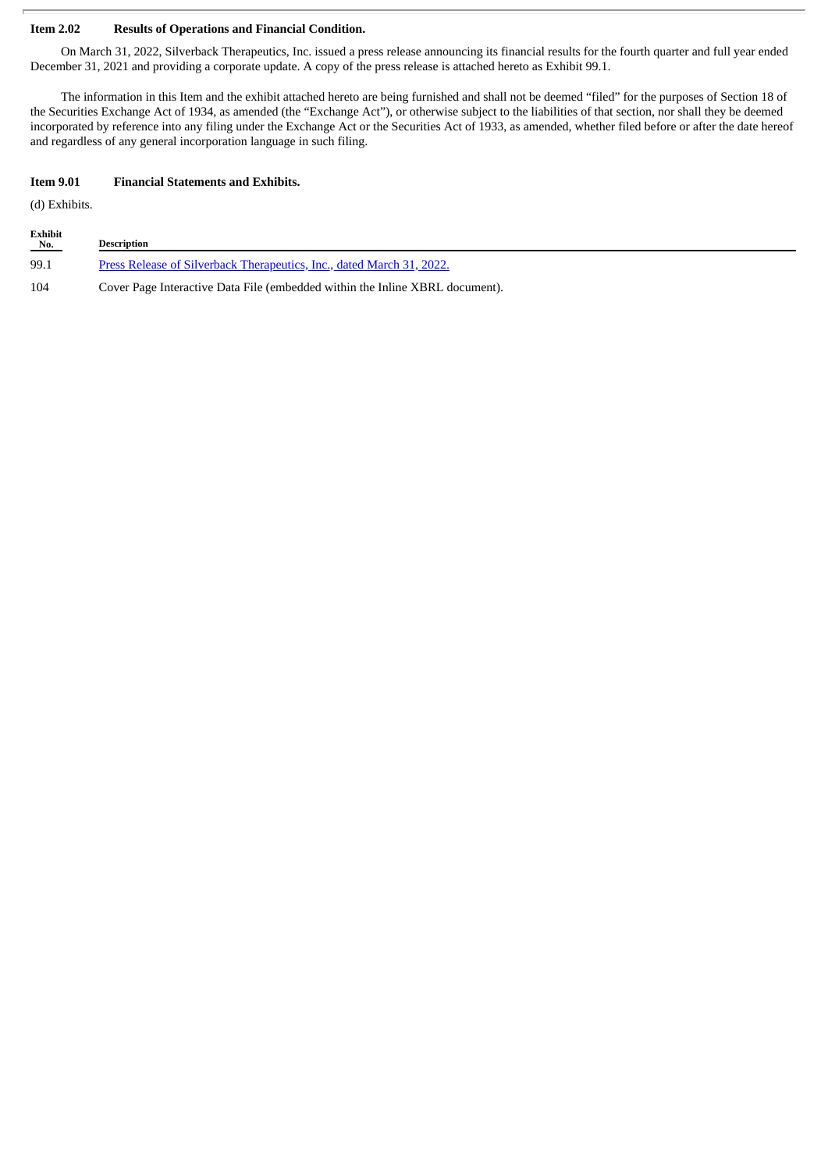## **Item 2.02 Results of Operations and Financial Condition.**

On March 31, 2022, Silverback Therapeutics, Inc. issued a press release announcing its financial results for the fourth quarter and full year ended December 31, 2021 and providing a corporate update. A copy of the press release is attached hereto as Exhibit 99.1.

The information in this Item and the exhibit attached hereto are being furnished and shall not be deemed "filed" for the purposes of Section 18 of the Securities Exchange Act of 1934, as amended (the "Exchange Act"), or otherwise subject to the liabilities of that section, nor shall they be deemed incorporated by reference into any filing under the Exchange Act or the Securities Act of 1933, as amended, whether filed before or after the date hereof and regardless of any general incorporation language in such filing.

#### **Item 9.01 Financial Statements and Exhibits.**

(d) Exhibits.

| Exhibit<br>No. | <b>Description</b>                                                           |
|----------------|------------------------------------------------------------------------------|
| 99.1           | Press Release of Silverback Therapeutics, Inc., dated March 31, 2022.        |
| 104            | Cover Page Interactive Data File (embedded within the Inline XBRL document). |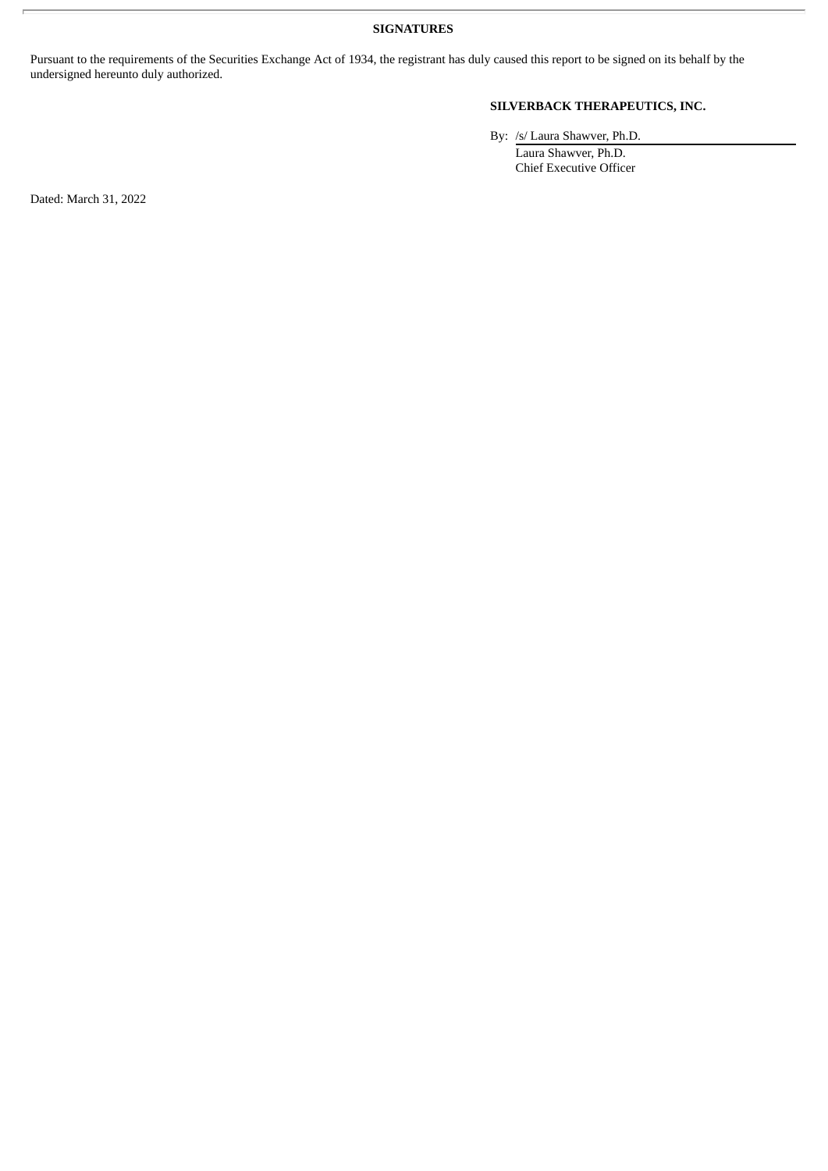**SIGNATURES**

Pursuant to the requirements of the Securities Exchange Act of 1934, the registrant has duly caused this report to be signed on its behalf by the undersigned hereunto duly authorized.

# **SILVERBACK THERAPEUTICS, INC.**

By: /s/ Laura Shawver, Ph.D.

Laura Shawver, Ph.D. Chief Executive Officer

Dated: March 31, 2022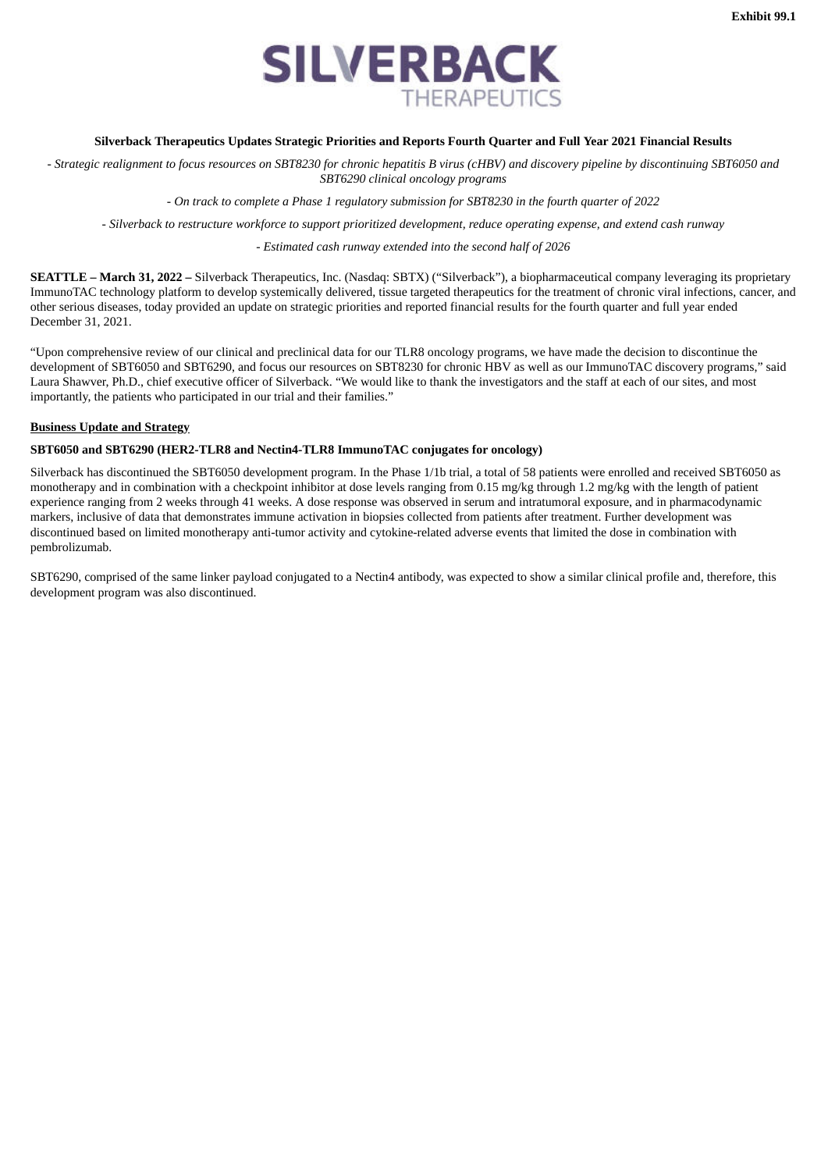

# <span id="page-3-0"></span>**Silverback Therapeutics Updates Strategic Priorities and Reports Fourth Quarter and Full Year 2021 Financial Results**

- Strategic realignment to focus resources on SBT8230 for chronic hepatitis B virus (cHBV) and discovery pipeline by discontinuing SBT6050 and *SBT6290 clinical oncology programs*

- *On track to complete a Phase 1 regulatory submission for SBT8230 in the fourth quarter of 2022*

- Silverback to restructure workforce to support prioritized development, reduce operating expense, and extend cash runway

- *Estimated cash runway extended into the second half of 2026*

**SEATTLE – March 31, 2022 –** Silverback Therapeutics, Inc. (Nasdaq: SBTX) ("Silverback"), a biopharmaceutical company leveraging its proprietary ImmunoTAC technology platform to develop systemically delivered, tissue targeted therapeutics for the treatment of chronic viral infections, cancer, and other serious diseases, today provided an update on strategic priorities and reported financial results for the fourth quarter and full year ended December 31, 2021.

"Upon comprehensive review of our clinical and preclinical data for our TLR8 oncology programs, we have made the decision to discontinue the development of SBT6050 and SBT6290, and focus our resources on SBT8230 for chronic HBV as well as our ImmunoTAC discovery programs," said Laura Shawver, Ph.D., chief executive officer of Silverback. "We would like to thank the investigators and the staff at each of our sites, and most importantly, the patients who participated in our trial and their families."

#### **Business Update and Strategy**

## **SBT6050 and SBT6290 (HER2-TLR8 and Nectin4-TLR8 ImmunoTAC conjugates for oncology)**

Silverback has discontinued the SBT6050 development program. In the Phase 1/1b trial, a total of 58 patients were enrolled and received SBT6050 as monotherapy and in combination with a checkpoint inhibitor at dose levels ranging from 0.15 mg/kg through 1.2 mg/kg with the length of patient experience ranging from 2 weeks through 41 weeks. A dose response was observed in serum and intratumoral exposure, and in pharmacodynamic markers, inclusive of data that demonstrates immune activation in biopsies collected from patients after treatment. Further development was discontinued based on limited monotherapy anti-tumor activity and cytokine-related adverse events that limited the dose in combination with pembrolizumab.

SBT6290, comprised of the same linker payload conjugated to a Nectin4 antibody, was expected to show a similar clinical profile and, therefore, this development program was also discontinued.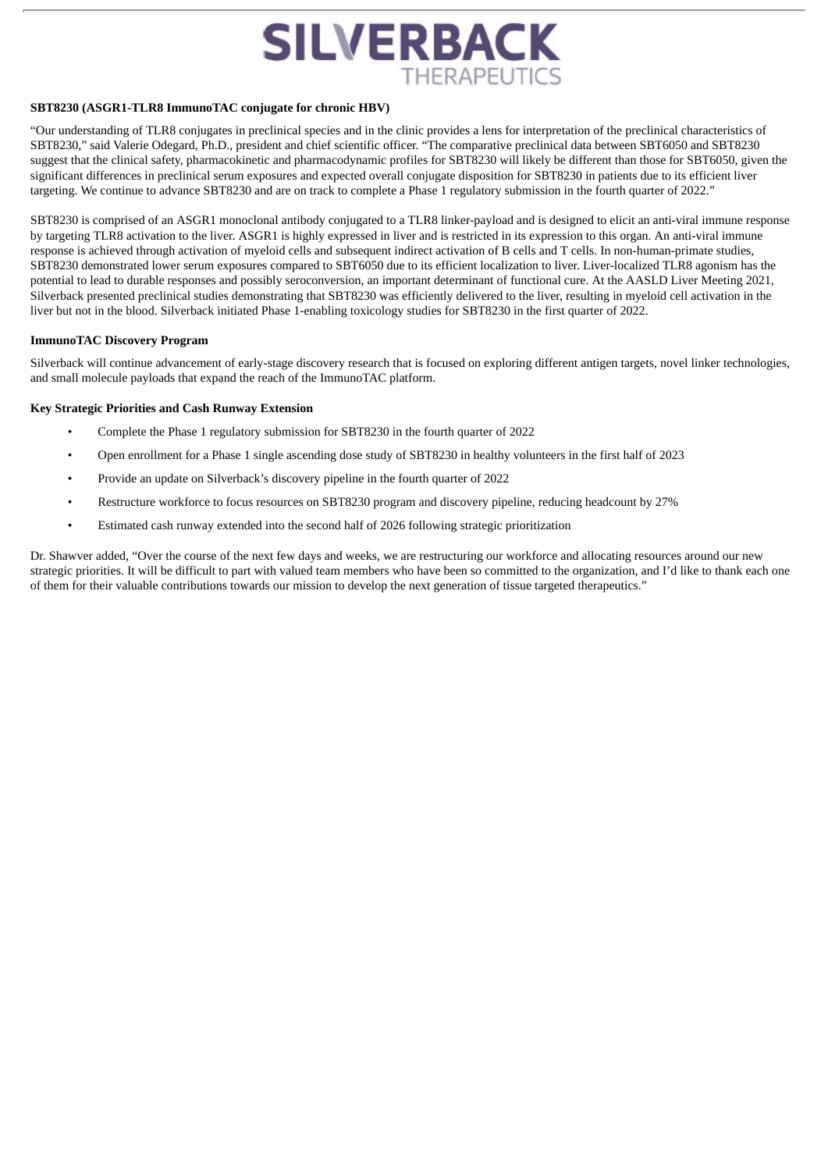

#### **SBT8230 (ASGR1-TLR8 ImmunoTAC conjugate for chronic HBV)**

"Our understanding of TLR8 conjugates in preclinical species and in the clinic provides a lens for interpretation of the preclinical characteristics of SBT8230," said Valerie Odegard, Ph.D., president and chief scientific officer. "The comparative preclinical data between SBT6050 and SBT8230 suggest that the clinical safety, pharmacokinetic and pharmacodynamic profiles for SBT8230 will likely be different than those for SBT6050, given the significant differences in preclinical serum exposures and expected overall conjugate disposition for SBT8230 in patients due to its efficient liver targeting. We continue to advance SBT8230 and are on track to complete a Phase 1 regulatory submission in the fourth quarter of 2022."

SBT8230 is comprised of an ASGR1 monoclonal antibody conjugated to a TLR8 linker-payload and is designed to elicit an anti-viral immune response by targeting TLR8 activation to the liver. ASGR1 is highly expressed in liver and is restricted in its expression to this organ. An anti-viral immune response is achieved through activation of myeloid cells and subsequent indirect activation of B cells and T cells. In non-human-primate studies, SBT8230 demonstrated lower serum exposures compared to SBT6050 due to its efficient localization to liver. Liver-localized TLR8 agonism has the potential to lead to durable responses and possibly seroconversion, an important determinant of functional cure. At the AASLD Liver Meeting 2021, Silverback presented preclinical studies demonstrating that SBT8230 was efficiently delivered to the liver, resulting in myeloid cell activation in the liver but not in the blood. Silverback initiated Phase 1-enabling toxicology studies for SBT8230 in the first quarter of 2022.

#### **ImmunoTAC Discovery Program**

Silverback will continue advancement of early-stage discovery research that is focused on exploring different antigen targets, novel linker technologies, and small molecule payloads that expand the reach of the ImmunoTAC platform.

#### **Key Strategic Priorities and Cash Runway Extension**

- Complete the Phase 1 regulatory submission for SBT8230 in the fourth quarter of 2022
- Open enrollment for a Phase 1 single ascending dose study of SBT8230 in healthy volunteers in the first half of 2023
- Provide an update on Silverback's discovery pipeline in the fourth quarter of 2022
- Restructure workforce to focus resources on SBT8230 program and discovery pipeline, reducing headcount by 27%
- Estimated cash runway extended into the second half of 2026 following strategic prioritization

Dr. Shawver added, "Over the course of the next few days and weeks, we are restructuring our workforce and allocating resources around our new strategic priorities. It will be difficult to part with valued team members who have been so committed to the organization, and I'd like to thank each one of them for their valuable contributions towards our mission to develop the next generation of tissue targeted therapeutics."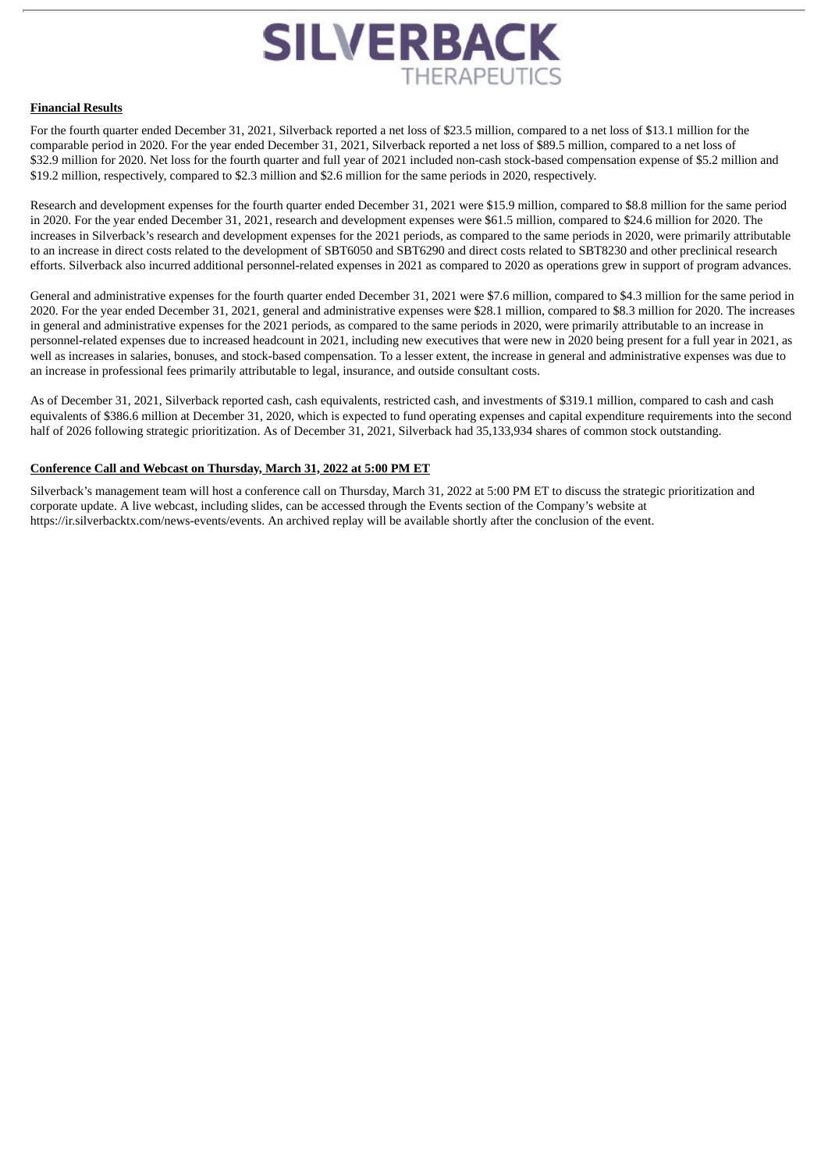

#### **Financial Results**

For the fourth quarter ended December 31, 2021, Silverback reported a net loss of \$23.5 million, compared to a net loss of \$13.1 million for the comparable period in 2020. For the year ended December 31, 2021, Silverback reported a net loss of \$89.5 million, compared to a net loss of \$32.9 million for 2020. Net loss for the fourth quarter and full year of 2021 included non-cash stock-based compensation expense of \$5.2 million and \$19.2 million, respectively, compared to \$2.3 million and \$2.6 million for the same periods in 2020, respectively.

Research and development expenses for the fourth quarter ended December 31, 2021 were \$15.9 million, compared to \$8.8 million for the same period in 2020. For the year ended December 31, 2021, research and development expenses were \$61.5 million, compared to \$24.6 million for 2020. The increases in Silverback's research and development expenses for the 2021 periods, as compared to the same periods in 2020, were primarily attributable to an increase in direct costs related to the development of SBT6050 and SBT6290 and direct costs related to SBT8230 and other preclinical research efforts. Silverback also incurred additional personnel-related expenses in 2021 as compared to 2020 as operations grew in support of program advances.

General and administrative expenses for the fourth quarter ended December 31, 2021 were \$7.6 million, compared to \$4.3 million for the same period in 2020. For the year ended December 31, 2021, general and administrative expenses were \$28.1 million, compared to \$8.3 million for 2020. The increases in general and administrative expenses for the 2021 periods, as compared to the same periods in 2020, were primarily attributable to an increase in personnel-related expenses due to increased headcount in 2021, including new executives that were new in 2020 being present for a full year in 2021, as well as increases in salaries, bonuses, and stock-based compensation. To a lesser extent, the increase in general and administrative expenses was due to an increase in professional fees primarily attributable to legal, insurance, and outside consultant costs.

As of December 31, 2021, Silverback reported cash, cash equivalents, restricted cash, and investments of \$319.1 million, compared to cash and cash equivalents of \$386.6 million at December 31, 2020, which is expected to fund operating expenses and capital expenditure requirements into the second half of 2026 following strategic prioritization. As of December 31, 2021, Silverback had 35,133,934 shares of common stock outstanding.

## **Conference Call and Webcast on Thursday, March 31, 2022 at 5:00 PM ET**

Silverback's management team will host a conference call on Thursday, March 31, 2022 at 5:00 PM ET to discuss the strategic prioritization and corporate update. A live webcast, including slides, can be accessed through the Events section of the Company's website at https://ir.silverbacktx.com/news-events/events. An archived replay will be available shortly after the conclusion of the event.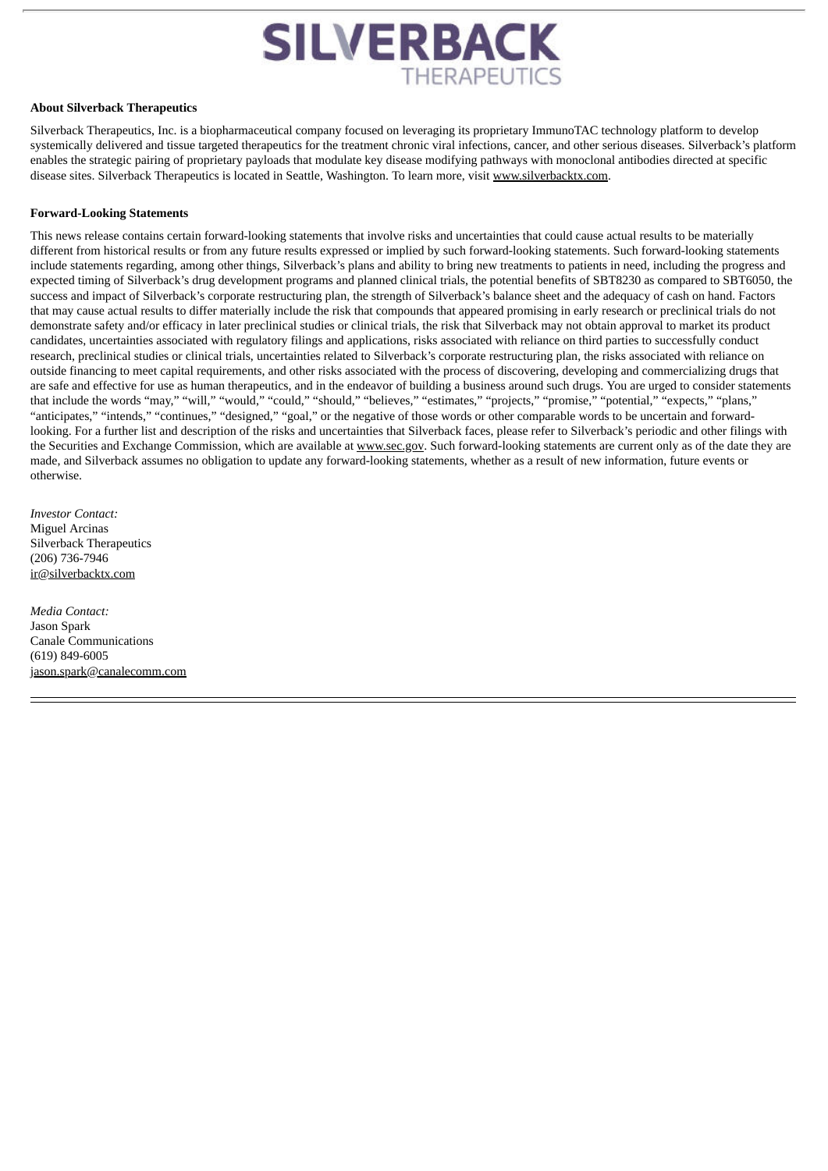

#### **About Silverback Therapeutics**

Silverback Therapeutics, Inc. is a biopharmaceutical company focused on leveraging its proprietary ImmunoTAC technology platform to develop systemically delivered and tissue targeted therapeutics for the treatment chronic viral infections, cancer, and other serious diseases. Silverback's platform enables the strategic pairing of proprietary payloads that modulate key disease modifying pathways with monoclonal antibodies directed at specific disease sites. Silverback Therapeutics is located in Seattle, Washington. To learn more, visit www.silverbacktx.com.

#### **Forward-Looking Statements**

This news release contains certain forward-looking statements that involve risks and uncertainties that could cause actual results to be materially different from historical results or from any future results expressed or implied by such forward-looking statements. Such forward-looking statements include statements regarding, among other things, Silverback's plans and ability to bring new treatments to patients in need, including the progress and expected timing of Silverback's drug development programs and planned clinical trials, the potential benefits of SBT8230 as compared to SBT6050, the success and impact of Silverback's corporate restructuring plan, the strength of Silverback's balance sheet and the adequacy of cash on hand. Factors that may cause actual results to differ materially include the risk that compounds that appeared promising in early research or preclinical trials do not demonstrate safety and/or efficacy in later preclinical studies or clinical trials, the risk that Silverback may not obtain approval to market its product candidates, uncertainties associated with regulatory filings and applications, risks associated with reliance on third parties to successfully conduct research, preclinical studies or clinical trials, uncertainties related to Silverback's corporate restructuring plan, the risks associated with reliance on outside financing to meet capital requirements, and other risks associated with the process of discovering, developing and commercializing drugs that are safe and effective for use as human therapeutics, and in the endeavor of building a business around such drugs. You are urged to consider statements that include the words "may," "will," "would," "could," "should," "believes," "estimates," "projects," "promise," "potential," "expects," "plans," "anticipates," "intends," "continues," "designed," "goal," or the negative of those words or other comparable words to be uncertain and forwardlooking. For a further list and description of the risks and uncertainties that Silverback faces, please refer to Silverback's periodic and other filings with the Securities and Exchange Commission, which are available at www.sec.gov. Such forward-looking statements are current only as of the date they are made, and Silverback assumes no obligation to update any forward-looking statements, whether as a result of new information, future events or otherwise.

*Investor Contact:* Miguel Arcinas Silverback Therapeutics (206) 736-7946 ir@silverbacktx.com

*Media Contact:* Jason Spark Canale Communications (619) 849-6005 jason.spark@canalecomm.com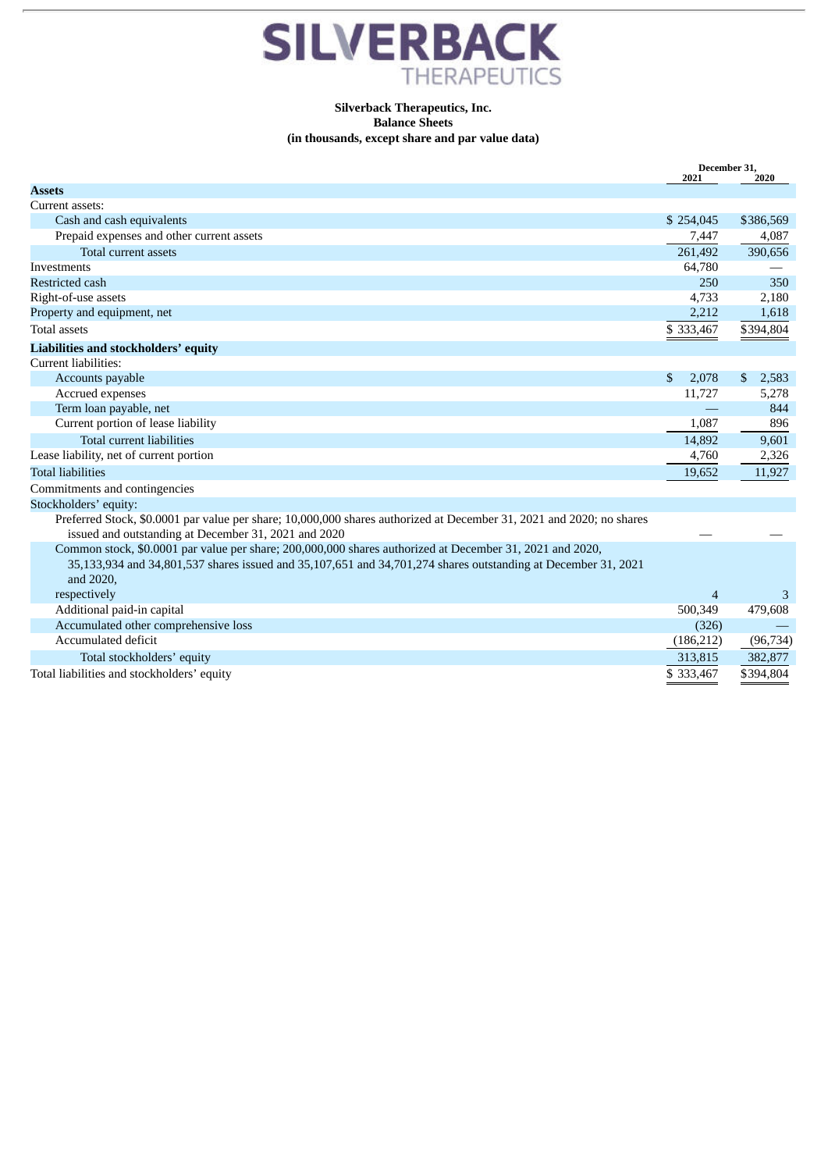

# **Silverback Therapeutics, Inc. Balance Sheets (in thousands, except share and par value data)**

|                                                                                                                      | December 31,<br>2021 | 2020        |
|----------------------------------------------------------------------------------------------------------------------|----------------------|-------------|
| <b>Assets</b>                                                                                                        |                      |             |
| Current assets:                                                                                                      |                      |             |
| Cash and cash equivalents                                                                                            | \$254,045            | \$386,569   |
| Prepaid expenses and other current assets                                                                            | 7,447                | 4,087       |
| <b>Total current assets</b>                                                                                          | 261,492              | 390,656     |
| Investments                                                                                                          | 64,780               |             |
| <b>Restricted cash</b>                                                                                               | 250                  | 350         |
| Right-of-use assets                                                                                                  | 4,733                | 2,180       |
| Property and equipment, net                                                                                          | 2,212                | 1,618       |
| <b>Total assets</b>                                                                                                  | \$333,467            | \$394,804   |
| Liabilities and stockholders' equity                                                                                 |                      |             |
| Current liabilities:                                                                                                 |                      |             |
| Accounts payable                                                                                                     | \$<br>2,078          | \$<br>2,583 |
| Accrued expenses                                                                                                     | 11,727               | 5,278       |
| Term loan payable, net                                                                                               |                      | 844         |
| Current portion of lease liability                                                                                   | 1,087                | 896         |
| Total current liabilities                                                                                            | 14,892               | 9,601       |
| Lease liability, net of current portion                                                                              | 4,760                | 2,326       |
| <b>Total liabilities</b>                                                                                             | 19,652               | 11,927      |
| Commitments and contingencies                                                                                        |                      |             |
| Stockholders' equity:                                                                                                |                      |             |
| Preferred Stock, \$0.0001 par value per share; 10,000,000 shares authorized at December 31, 2021 and 2020; no shares |                      |             |
| issued and outstanding at December 31, 2021 and 2020                                                                 |                      |             |
| Common stock, \$0.0001 par value per share; 200,000,000 shares authorized at December 31, 2021 and 2020,             |                      |             |
| 35,133,934 and 34,801,537 shares issued and 35,107,651 and 34,701,274 shares outstanding at December 31, 2021        |                      |             |
| and 2020,                                                                                                            |                      |             |
| respectively                                                                                                         | $\overline{4}$       | 3           |
| Additional paid-in capital                                                                                           | 500,349              | 479,608     |
| Accumulated other comprehensive loss                                                                                 | (326)                |             |
| Accumulated deficit                                                                                                  | (186, 212)           | (96, 734)   |
| Total stockholders' equity                                                                                           | 313,815              | 382,877     |
| Total liabilities and stockholders' equity                                                                           | \$333,467            | \$394,804   |